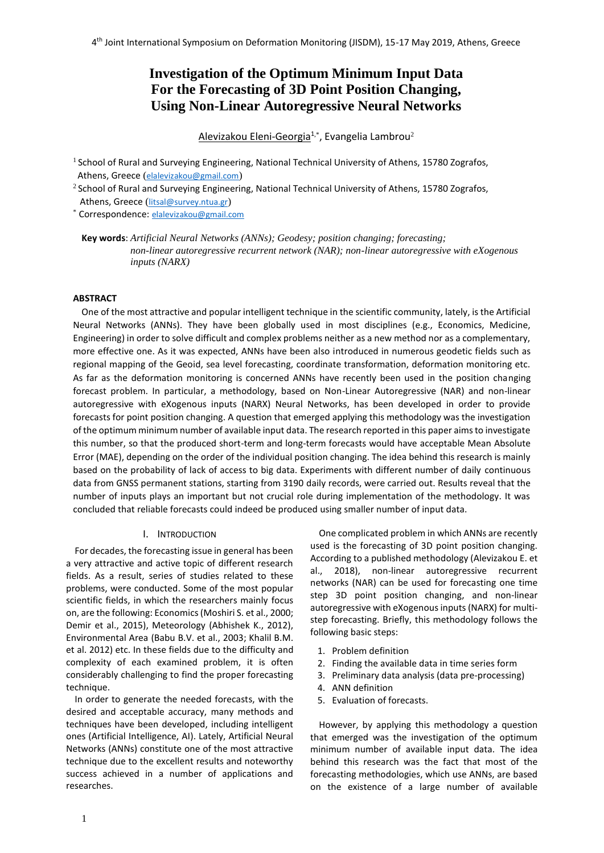# **Investigation of the Optimum Minimum Input Data For the Forecasting of 3D Point Position Changing, Using Non-Linear Autoregressive Neural Networks**

Alevizakou Eleni-Georgia<sup>1,\*</sup>, Evangelia Lambrou<sup>2</sup>

<sup>1</sup> School of Rural and Surveying Engineering, National Technical University of Athens, 15780 Zografos, Athens, Greece ([elalevizakou@gmail.com](mailto:elalevizakou@gmail.com))

 $2$  School of Rural and Surveying Engineering, National Technical University of Athens, 15780 Zografos, Athens, Greece ([litsal@survey.ntua.gr](mailto:litsal@survey.ntua.gr))

\* Correspondence: [elalevizakou@gmail.com](mailto:elalevizakou@gmail.com)

**Key words**: *Artificial Neural Networks (ANNs); Geodesy; position changing; forecasting; non-linear autoregressive recurrent network (NAR); non-linear autoregressive with eXogenous inputs (NARX)*

# **ABSTRACT**

One of the most attractive and popular intelligent technique in the scientific community, lately, is the Artificial Neural Networks (ANNs). They have been globally used in most disciplines (e.g., Economics, Medicine, Engineering) in order to solve difficult and complex problems neither as a new method nor as a complementary, more effective one. As it was expected, ANNs have been also introduced in numerous geodetic fields such as regional mapping of the Geoid, sea level forecasting, coordinate transformation, deformation monitoring etc. As far as the deformation monitoring is concerned ANNs have recently been used in the position changing forecast problem. In particular, a methodology, based on Non-Linear Autoregressive (NAR) and non-linear autoregressive with eXogenous inputs (NARX) Neural Networks, has been developed in order to provide forecasts for point position changing. Α question that emerged applying this methodology was the investigation of the optimum minimum number of available input data. The research reported in this paper aims to investigate this number, so that the produced short-term and long-term forecasts would have acceptable Mean Absolute Error (MAE), depending on the order of the individual position changing. The idea behind this research is mainly based on the probability of lack of access to big data. Experiments with different number of daily continuous data from GNSS permanent stations, starting from 3190 daily records, were carried out. Results reveal that the number of inputs plays an important but not crucial role during implementation of the methodology. It was concluded that reliable forecasts could indeed be produced using smaller number of input data.

#### I. INTRODUCTION

For decades, the forecasting issue in general has been a very attractive and active topic of different research fields. As a result, series of studies related to these problems, were conducted. Some of the most popular scientific fields, in which the researchers mainly focus on, are the following: Economics(Moshiri S. et al., 2000; Demir et al., 2015), Meteorology (Abhishek K., 2012), Environmental Area (Babu B.V. et al., 2003; Khalil B.M. et al. 2012) etc. In these fields due to the difficulty and complexity of each examined problem, it is often considerably challenging to find the proper forecasting technique.

In order to generate the needed forecasts, with the desired and acceptable accuracy, many methods and techniques have been developed, including intelligent ones (Artificial Intelligence, AI). Lately, Artificial Neural Networks (ANNs) constitute one of the most attractive technique due to the excellent results and noteworthy success achieved in a number of applications and researches.

One complicated problem in which ANNs are recently used is the forecasting of 3D point position changing. According to a published methodology (Alevizakou E. et al., 2018), non-linear autoregressive recurrent networks (NAR) can be used for forecasting one time step 3D point position changing, and non-linear autoregressive with eXogenous inputs (NARX) for multistep forecasting. Briefly, this methodology follows the following basic steps:

- 1. Problem definition
- 2. Finding the available data in time series form
- 3. Preliminary data analysis (data pre-processing)
- 4. ANN definition
- 5. Evaluation of forecasts.

However, by applying this methodology a question that emerged was the investigation of the optimum minimum number of available input data. The idea behind this research was the fact that most of the forecasting methodologies, which use ANNs, are based on the existence of a large number of available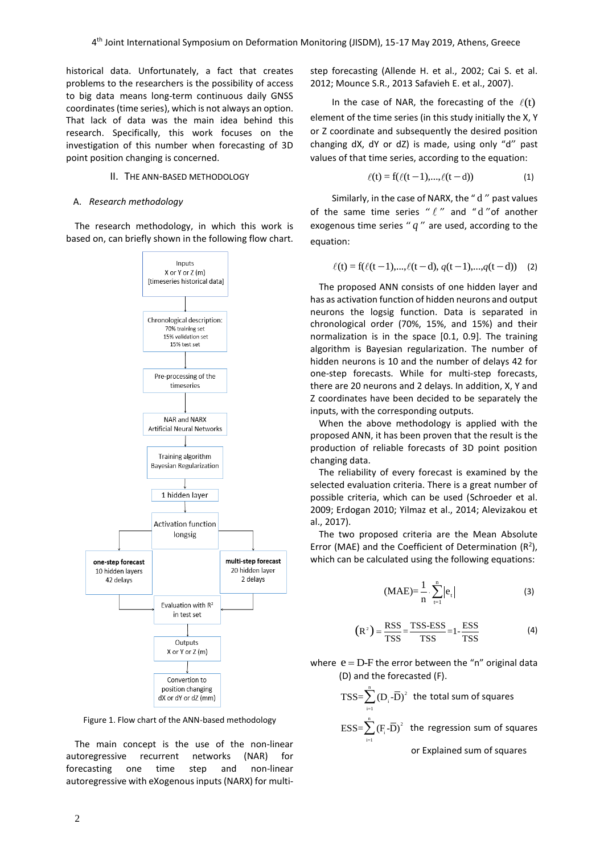historical data. Unfortunately, a fact that creates problems to the researchers is the possibility of access to big data means long-term continuous daily GNSS coordinates (time series), which is not always an option. That lack of data was the main idea behind this research. Specifically, this work focuses on the investigation of this number when forecasting of 3D point position changing is concerned.

## II. THE ANN-BASED METHODOLOGY

#### A. *Research methodology*

The research methodology, in which this work is based on, can briefly shown in the following flow chart.



Figure 1. Flow chart of the ANN-based methodology

The main concept is the use of the non-linear autoregressive recurrent networks (NAR) for forecasting one time step and non-linear autoregressive with eXogenous inputs (NARX) for multistep forecasting (Allende H. et al., 2002; Cai S. et al. 2012; Mounce S.R., 2013 Safavieh E. et al., 2007).

In the case of NAR, the forecasting of the  $\ell(t)$ element of the time series (in this study initially the X, Y or Z coordinate and subsequently the desired position changing dX, dY or dZ) is made, using only "d" past values of that time series, according to the equation:

$$
\ell(t) = f(\ell(t-1), ..., \ell(t-d))
$$
 (1)

Similarly, in the case of NARX, the "d" past values of the same time series " $\ell$ " and "d" of another exogenous time series " *q* " are used, according to the equation:

$$
\ell(t) = f(\ell(t-1), \ldots, \ell(t-d), q(t-1), \ldots, q(t-d)) \quad (2)
$$

The proposed ANN consists of one hidden layer and has as activation function of hidden neurons and output neurons the logsig function. Data is separated in chronological order (70%, 15%, and 15%) and their normalization is in the space [0.1, 0.9]. The training algorithm is Bayesian regularization. The number of hidden neurons is 10 and the number of delays 42 for one-step forecasts. While for multi-step forecasts, there are 20 neurons and 2 delays. In addition, X, Y and Z coordinates have been decided to be separately the inputs, with the corresponding outputs.

When the above methodology is applied with the proposed ANN, it has been proven that the result is the production of reliable forecasts of 3D point position changing data.

The reliability of every forecast is examined by the selected evaluation criteria. There is a great number of possible criteria, which can be used (Schroeder et al. 2009; Erdogan 2010; Yilmaz et al., 2014; Alevizakou et al., 2017).

The two proposed criteria are the Mean Absolute Error (MAE) and the Coefficient of Determination  $(R^2)$ , which can be calculated using the following equations:

$$
(MAE)=\frac{1}{n}\cdot\sum_{t=1}^{n}|e_{t}|
$$
 (3)

$$
(R2) = \frac{RSS}{TSS} = \frac{TSS\text{-}ESS}{TSS} = 1 - \frac{ESS}{TSS}
$$
 (4)

where  $e = D - F$  the error between the "n" original data (D) and the forecasted (F).

TSS=
$$
\sum_{i=1}^{n} (D_i - \overline{D})^2
$$
 the total sum of squares  
ESS= $\sum_{i=1}^{n} (F_i - \overline{D})^2$  the regression sum of squares

or Explained sum of squares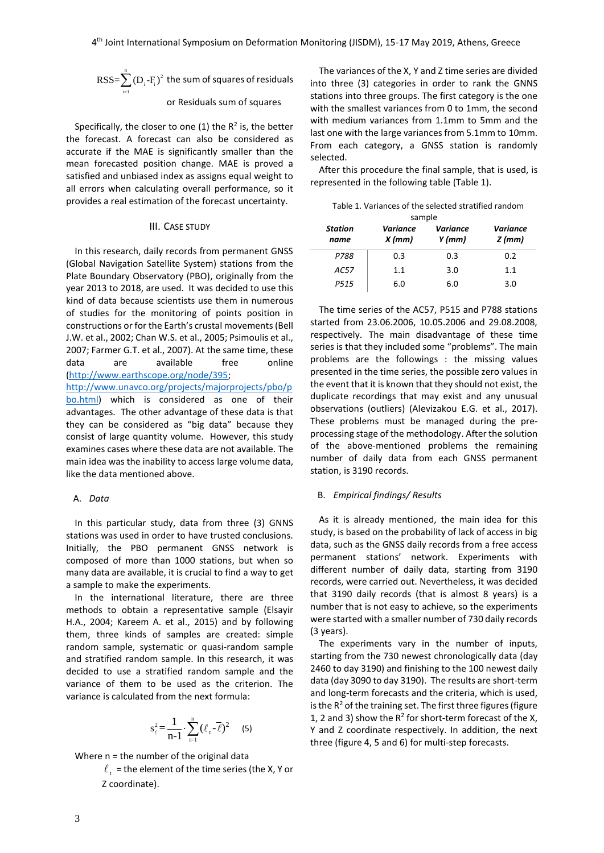$$
RSS = \sum_{i=1}^{n} (D_i - F_i)^2
$$
 the sum of squares of residuals

#### or Residuals sum of squares

Specifically, the closer to one (1) the  $R^2$  is, the better the forecast. A forecast can also be considered as accurate if the MAE is significantly smaller than the mean forecasted position change. MAE is proved a satisfied and unbiased index as assigns equal weight to all errors when calculating overall performance, so it provides a real estimation of the forecast uncertainty.

## III. CASE STUDY

In this research, daily records from permanent GNSS (Global Navigation Satellite System) stations from the Plate Boundary Observatory (PBO), originally from the year 2013 to 2018, are used. It was decided to use this kind of data because scientists use them in numerous of studies for the monitoring of points position in constructions or for the Earth's crustal movements (Bell J.W. et al., 2002; Chan W.S. et al., 2005; Psimoulis et al., 2007; Farmer G.T. et al., 2007). At the same time, these data are available free online [\(http://www.earthscope.org/node/395;](http://www.earthscope.org/node/395)

[http://www.unavco.org/projects/majorprojects/pbo/p](http://www.unavco.org/projects/majorprojects/pbo/pbo.html) [bo.html\)](http://www.unavco.org/projects/majorprojects/pbo/pbo.html) which is considered as one of their advantages. The other advantage of these data is that they can be considered as "big data" because they consist of large quantity volume. However, this study examines cases where these data are not available. The main idea was the inability to access large volume data, like the data mentioned above.

## A. *Data*

In this particular study, data from three (3) GNNS stations was used in order to have trusted conclusions. Initially, the PBO permanent GNSS network is composed of more than 1000 stations, but when so many data are available, it is crucial to find a way to get a sample to make the experiments.

In the international literature, there are three methods to obtain a representative sample (Elsayir H.A., 2004; Kareem A. et al., 2015) and by following them, three kinds of samples are created: simple random sample, systematic or quasi-random sample and stratified random sample. In this research, it was decided to use a stratified random sample and the variance of them to be used as the criterion. The variance is calculated from the next formula:

$$
s_{\ell}^{2} = \frac{1}{n-1} \cdot \sum_{t=1}^{n} (\ell_{t} - \overline{\ell})^{2} \qquad (5)
$$

Where n = the number of the original data

 $_{\rm t}$  = the element of the time series (the X, Y or Z coordinate).

The variances of the X, Y and Z time series are divided into three (3) categories in order to rank the GNNS stations into three groups. The first category is the one with the smallest variances from 0 to 1mm, the second with medium variances from 1.1mm to 5mm and the last one with the large variances from 5.1mm to 10mm. From each category, a GNSS station is randomly selected.

After this procedure the final sample, that is used, is represented in the following table (Table 1).

| Table 1. Variances of the selected stratified random |
|------------------------------------------------------|
| sample                                               |

| <b>Sallipic</b>        |                      |                             |                             |  |  |  |  |
|------------------------|----------------------|-----------------------------|-----------------------------|--|--|--|--|
| <b>Station</b><br>name | Variance<br>$X$ (mm) | <b>Variance</b><br>$Y$ (mm) | <b>Variance</b><br>$Z$ (mm) |  |  |  |  |
| P788                   | 0.3                  | 0.3                         | 0.2                         |  |  |  |  |
| AC57                   | 1.1                  | 3.0                         | 1.1                         |  |  |  |  |
| P515                   | 6.0                  | 6.0                         | 3.0                         |  |  |  |  |

The time series of the AC57, P515 and P788 stations started from 23.06.2006, 10.05.2006 and 29.08.2008, respectively. The main disadvantage of these time series is that they included some "problems". The main problems are the followings : the missing values presented in the time series, the possible zero values in the event that it is known that they should not exist, the duplicate recordings that may exist and any unusual observations (outliers) (Alevizakou E.G. et al., 2017). These problems must be managed during the preprocessing stage of the methodology. After the solution of the above-mentioned problems the remaining number of daily data from each GNSS permanent station, is 3190 records.

#### B. *Empirical findings/ Results*

As it is already mentioned, the main idea for this study, is based on the probability of lack of access in big data, such as the GNSS daily records from a free access permanent stations' network. Experiments with different number of daily data, starting from 3190 records, were carried out. Nevertheless, it was decided that 3190 daily records (that is almost 8 years) is a number that is not easy to achieve, so the experiments were started with a smaller number of 730 daily records (3 years).

The experiments vary in the number of inputs, starting from the 730 newest chronologically data (day 2460 to day 3190) and finishing to the 100 newest daily data (day 3090 to day 3190). The results are short-term and long-term forecasts and the criteria, which is used, is the  $R<sup>2</sup>$  of the training set. The first three figures (figure 1, 2 and 3) show the  $R^2$  for short-term forecast of the X, Y and Z coordinate respectively. In addition, the next three (figure 4, 5 and 6) for multi-step forecasts.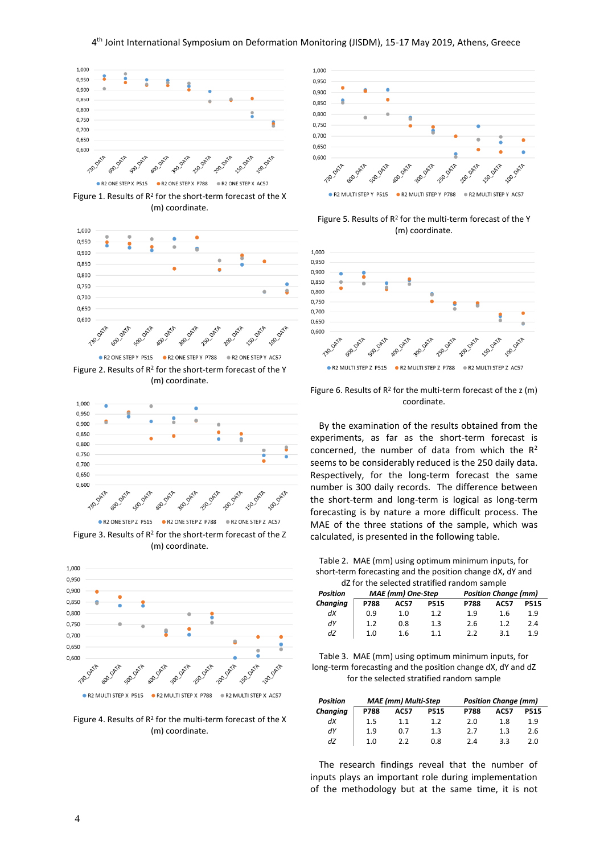

Figure 1. Results of  $R^2$  for the short-term forecast of the X (m) coordinate.



Figure 2. Results of  $R^2$  for the short-term forecast of the Y (m) coordinate.



Figure 3. Results of  $R^2$  for the short-term forecast of the Z (m) coordinate.



Figure 4. Results of  $R^2$  for the multi-term forecast of the X (m) coordinate.



Figure 5. Results of  $R^2$  for the multi-term forecast of the Y (m) coordinate.



Figure 6. Results of  $R^2$  for the multi-term forecast of the z (m) coordinate.

By the examination of the results obtained from the experiments, as far as the short-term forecast is concerned, the number of data from which the  $R^2$ seems to be considerably reduced is the 250 daily data. Respectively, for the long-term forecast the same number is 300 daily records. The difference between the short-term and long-term is logical as long-term forecasting is by nature a more difficult process. The MAE of the three stations of the sample, which was calculated, is presented in the following table.

Table 2. MAE (mm) using optimum minimum inputs, for short-term forecasting and the position change dX, dY and

| dZ for the selected stratified random sample |                          |             |             |      |                             |             |  |
|----------------------------------------------|--------------------------|-------------|-------------|------|-----------------------------|-------------|--|
| <b>Position</b>                              | <b>MAE</b> (mm) One-Step |             |             |      | <b>Position Change (mm)</b> |             |  |
| Changing                                     | P788                     | <b>AC57</b> | <b>P515</b> | P788 | <b>AC57</b>                 | <b>P515</b> |  |
| dX                                           | 0.9                      | 1.0         | 1.2         | 1.9  | 1.6                         | 1.9         |  |
| dY                                           | 1.2                      | 0.8         | 1.3         | 2.6  | 1.2                         | 2.4         |  |
| dZ                                           | 1.0                      | 1.6         | 11          | 22   | 31                          | 1.9         |  |

Table 3. MAE (mm) using optimum minimum inputs, for long-term forecasting and the position change dX, dY and dZ for the selected stratified random sample

| <b>Position</b> | <b>MAE</b> (mm) Multi-Step |             |             | <b>Position Change (mm)</b> |      |             |
|-----------------|----------------------------|-------------|-------------|-----------------------------|------|-------------|
| Changing        | P788                       | <b>AC57</b> | <b>P515</b> | P788                        | AC57 | <b>P515</b> |
| dX              | 1.5                        | 1.1         | 1.2         | 2.0                         | 1.8  | 1.9         |
| dY              | 1.9                        | 0.7         | 1.3         | 2.7                         | 1.3  | 2.6         |
| dZ              | 1.0                        | 2.2         | 0.8         | 2.4                         | 3.3  | 2.0         |

The research findings reveal that the number of inputs plays an important role during implementation of the methodology but at the same time, it is not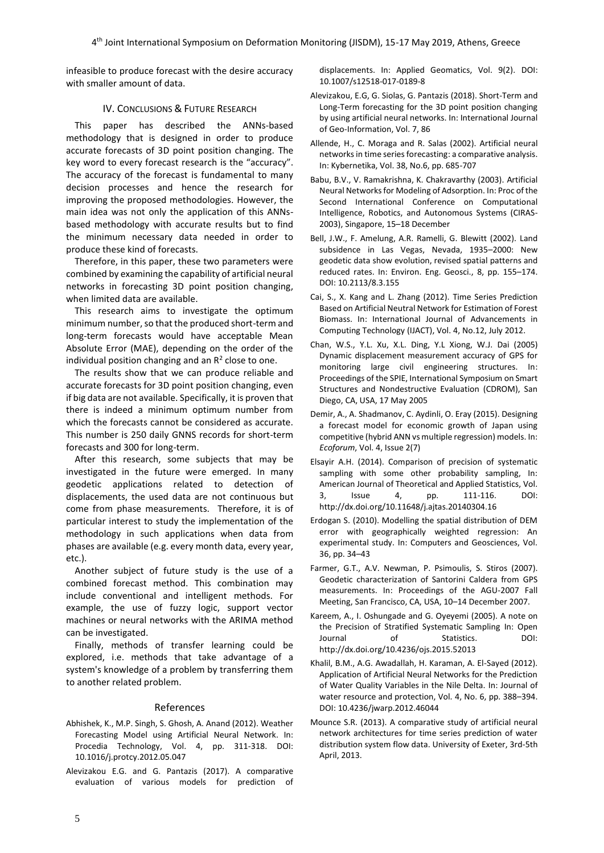infeasible to produce forecast with the desire accuracy with smaller amount of data.

## IV. CONCLUSIONS & FUTURE RESEARCH

This paper has described the ANNs-based methodology that is designed in order to produce accurate forecasts of 3D point position changing. The key word to every forecast research is the "accuracy". The accuracy of the forecast is fundamental to many decision processes and hence the research for improving the proposed methodologies. However, the main idea was not only the application of this ANNsbased methodology with accurate results but to find the minimum necessary data needed in order to produce these kind of forecasts.

Therefore, in this paper, these two parameters were combined by examining the capability of artificial neural networks in forecasting 3D point position changing, when limited data are available.

This research aims to investigate the optimum minimum number, so that the produced short-term and long-term forecasts would have acceptable Mean Absolute Error (MAE), depending on the order of the individual position changing and an  $R^2$  close to one.

The results show that we can produce reliable and accurate forecasts for 3D point position changing, even if big data are not available. Specifically, it is proven that there is indeed a minimum optimum number from which the forecasts cannot be considered as accurate. This number is 250 daily GNNS records for short-term forecasts and 300 for long-term.

After this research, some subjects that may be investigated in the future were emerged. In many geodetic applications related to detection of displacements, the used data are not continuous but come from phase measurements. Therefore, it is of particular interest to study the implementation of the methodology in such applications when data from phases are available (e.g. every month data, every year, etc.).

Another subject of future study is the use of a combined forecast method. This combination may include conventional and intelligent methods. For example, the use of fuzzy logic, support vector machines or neural networks with the ARIMA method can be investigated.

Finally, methods of transfer learning could be explored, i.e. methods that take advantage of a system's knowledge of a problem by transferring them to another related problem.

## References

- Abhishek, K., M.P. Singh, S. Ghosh, A. Anand (2012). Weather Forecasting Model using Artificial Neural Network. In: Procedia Technology, Vol. 4, pp. 311-318. [DOI:](https://doi.org/10.1016/j.protcy.2012.05.047)  [10.1016/j.protcy.2012.05.047](https://doi.org/10.1016/j.protcy.2012.05.047)
- Alevizakou E.G. and G. Pantazis (2017). A comparative evaluation of various models for prediction of

displacements. In: Applied Geomatics, Vol. 9(2). DOI: 10.1007/s12518-017-0189-8

- Alevizakou, E.G, G. Siolas, G. Pantazis (2018). Short-Term and Long-Term forecasting for the 3D point position changing by using artificial neural networks. In: International Journal of Geo-Information, Vol. 7, 86
- Allende, H., C. Moraga and R. Salas (2002). Artificial neural networks in time series forecasting: a comparative analysis. In: Kybernetika, Vol. 38, No.6, pp. 685-707
- Babu, B.V., V. Ramakrishna, K. Chakravarthy (2003). Artificial Neural Networks for Modeling of Adsorption. In: Proc of the Second International Conference on Computational Intelligence, Robotics, and Autonomous Systems (CIRAS-2003), Singapore, 15–18 December
- Bell, J.W., F. Amelung, A.R. Ramelli, G. Blewitt (2002). Land subsidence in Las Vegas, Nevada, 1935–2000: New geodetic data show evolution, revised spatial patterns and reduced rates. In: Environ. Eng. Geosci., 8, pp. 155–174. DOI: 10.2113/8.3.155
- Cai, S., X. Kang and L. Zhang (2012). Time Series Prediction Based on Artificial Neutral Network for Estimation of Forest Biomass. In: International Journal of Advancements in Computing Technology (IJACT), Vol. 4, No.12, July 2012.
- Chan, W.S., Y.L. Xu, X.L. Ding, Y.L Xiong, W.J. Dai (2005) Dynamic displacement measurement accuracy of GPS for monitoring large civil engineering structures. In: Proceedings of the SPIE, International Symposium on Smart Structures and Nondestructive Evaluation (CDROM), San Diego, CA, USA, 17 May 2005
- Demir, A., A. Shadmanov, C. Aydinli, O. Eray (2015). Designing a forecast model for economic growth of Japan using competitive (hybrid ANN vs multiple regression) models. In: *Ecoforum*, Vol. 4, Issue 2(7)
- Elsayir A.H. (2014). Comparison of precision of systematic sampling with some other probability sampling, In: American Journal of Theoretical and Applied Statistics, Vol. 3, Issue 4, pp. 111-116. DOI: <http://dx.doi.org/10.11648/j.ajtas.20140304.16>
- Erdogan S. (2010). Modelling the spatial distribution of DEM error with geographically weighted regression: An experimental study. In: Computers and Geosciences, Vol. 36, pp. 34–43
- Farmer, G.T., A.V. Newman, P. Psimoulis, S. Stiros (2007). Geodetic characterization of Santorini Caldera from GPS measurements. In: Proceedings of the AGU-2007 Fall Meeting, San Francisco, CA, USA, 10–14 December 2007.
- Kareem, A., I. Oshungade and G. Oyeyemi (2005). A note on the Precision of Stratified Systematic Sampling In: Open Journal of Statistics. DOI: <http://dx.doi.org/10.4236/ojs.2015.52013>
- Khalil, B.M., A.G. Awadallah, H. Karaman, A. El-Sayed (2012). Application of Artificial Neural Networks for the Prediction of Water Quality Variables in the Nile Delta. In: Journal of water resource and protection, Vol. 4, No. 6, pp. 388–394. DOI: [10.4236/jwarp.2012.46044](http://www.scirp.org/journal/PaperInformation.aspx?PaperID=19900)
- Mounce S.R. (2013). A comparative study of artificial neural network architectures for time series prediction of water distribution system flow data. University of Exeter, 3rd-5th April, 2013.